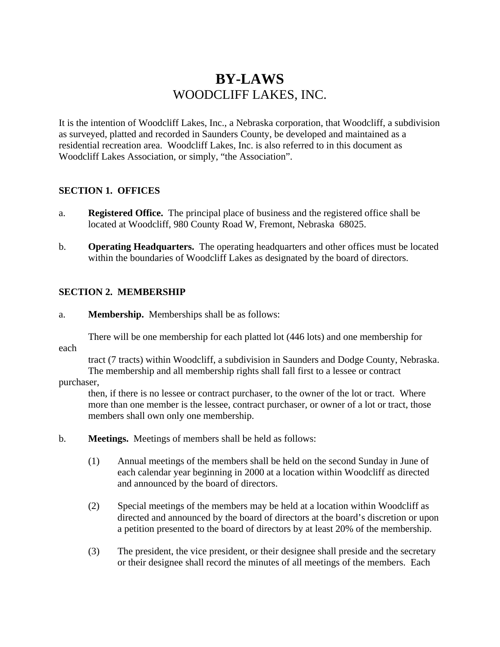# **BY-LAWS**  WOODCLIFF LAKES, INC.

It is the intention of Woodcliff Lakes, Inc., a Nebraska corporation, that Woodcliff, a subdivision as surveyed, platted and recorded in Saunders County, be developed and maintained as a residential recreation area. Woodcliff Lakes, Inc. is also referred to in this document as Woodcliff Lakes Association, or simply, "the Association".

# **SECTION 1. OFFICES**

- a. **Registered Office.** The principal place of business and the registered office shall be located at Woodcliff, 980 County Road W, Fremont, Nebraska 68025.
- b. **Operating Headquarters.** The operating headquarters and other offices must be located within the boundaries of Woodcliff Lakes as designated by the board of directors.

## **SECTION 2. MEMBERSHIP**

a. **Membership.** Memberships shall be as follows:

There will be one membership for each platted lot (446 lots) and one membership for

each

 tract (7 tracts) within Woodcliff, a subdivision in Saunders and Dodge County, Nebraska. The membership and all membership rights shall fall first to a lessee or contract

purchaser,

 then, if there is no lessee or contract purchaser, to the owner of the lot or tract. Where more than one member is the lessee, contract purchaser, or owner of a lot or tract, those members shall own only one membership.

- b. **Meetings.** Meetings of members shall be held as follows:
	- (1) Annual meetings of the members shall be held on the second Sunday in June of each calendar year beginning in 2000 at a location within Woodcliff as directed and announced by the board of directors.
	- (2) Special meetings of the members may be held at a location within Woodcliff as directed and announced by the board of directors at the board's discretion or upon a petition presented to the board of directors by at least 20% of the membership.
	- (3) The president, the vice president, or their designee shall preside and the secretary or their designee shall record the minutes of all meetings of the members. Each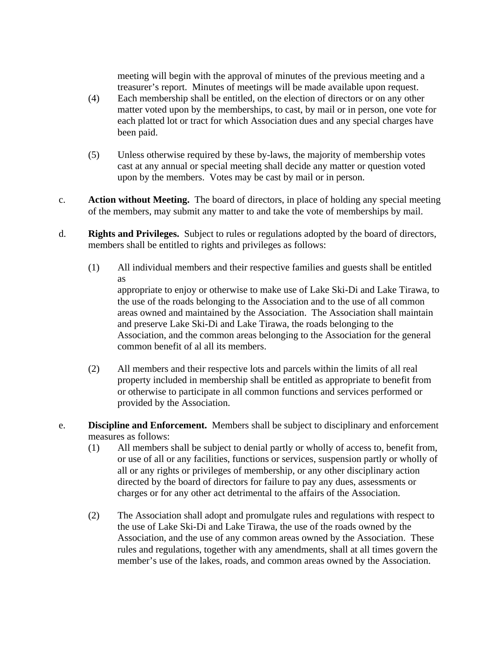meeting will begin with the approval of minutes of the previous meeting and a treasurer's report. Minutes of meetings will be made available upon request.

- (4) Each membership shall be entitled, on the election of directors or on any other matter voted upon by the memberships, to cast, by mail or in person, one vote for each platted lot or tract for which Association dues and any special charges have been paid.
- (5) Unless otherwise required by these by-laws, the majority of membership votes cast at any annual or special meeting shall decide any matter or question voted upon by the members. Votes may be cast by mail or in person.
- c. **Action without Meeting.** The board of directors, in place of holding any special meeting of the members, may submit any matter to and take the vote of memberships by mail.
- d. **Rights and Privileges.** Subject to rules or regulations adopted by the board of directors, members shall be entitled to rights and privileges as follows:
	- (1) All individual members and their respective families and guests shall be entitled as appropriate to enjoy or otherwise to make use of Lake Ski-Di and Lake Tirawa, to the use of the roads belonging to the Association and to the use of all common areas owned and maintained by the Association. The Association shall maintain and preserve Lake Ski-Di and Lake Tirawa, the roads belonging to the Association, and the common areas belonging to the Association for the general common benefit of al all its members.
	- (2) All members and their respective lots and parcels within the limits of all real property included in membership shall be entitled as appropriate to benefit from or otherwise to participate in all common functions and services performed or provided by the Association.
- e. **Discipline and Enforcement.** Members shall be subject to disciplinary and enforcement measures as follows:
	- (1) All members shall be subject to denial partly or wholly of access to, benefit from, or use of all or any facilities, functions or services, suspension partly or wholly of all or any rights or privileges of membership, or any other disciplinary action directed by the board of directors for failure to pay any dues, assessments or charges or for any other act detrimental to the affairs of the Association.
	- (2) The Association shall adopt and promulgate rules and regulations with respect to the use of Lake Ski-Di and Lake Tirawa, the use of the roads owned by the Association, and the use of any common areas owned by the Association. These rules and regulations, together with any amendments, shall at all times govern the member's use of the lakes, roads, and common areas owned by the Association.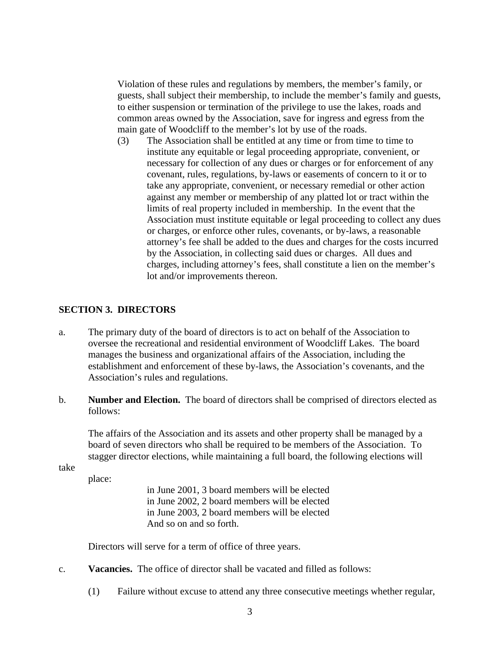Violation of these rules and regulations by members, the member's family, or guests, shall subject their membership, to include the member's family and guests, to either suspension or termination of the privilege to use the lakes, roads and common areas owned by the Association, save for ingress and egress from the main gate of Woodcliff to the member's lot by use of the roads.

(3) The Association shall be entitled at any time or from time to time to institute any equitable or legal proceeding appropriate, convenient, or necessary for collection of any dues or charges or for enforcement of any covenant, rules, regulations, by-laws or easements of concern to it or to take any appropriate, convenient, or necessary remedial or other action against any member or membership of any platted lot or tract within the limits of real property included in membership. In the event that the Association must institute equitable or legal proceeding to collect any dues or charges, or enforce other rules, covenants, or by-laws, a reasonable attorney's fee shall be added to the dues and charges for the costs incurred by the Association, in collecting said dues or charges. All dues and charges, including attorney's fees, shall constitute a lien on the member's lot and/or improvements thereon.

## **SECTION 3. DIRECTORS**

- a. The primary duty of the board of directors is to act on behalf of the Association to oversee the recreational and residential environment of Woodcliff Lakes. The board manages the business and organizational affairs of the Association, including the establishment and enforcement of these by-laws, the Association's covenants, and the Association's rules and regulations.
- b. **Number and Election.** The board of directors shall be comprised of directors elected as follows:

The affairs of the Association and its assets and other property shall be managed by a board of seven directors who shall be required to be members of the Association. To stagger director elections, while maintaining a full board, the following elections will

take

place:

in June 2001, 3 board members will be elected in June 2002, 2 board members will be elected in June 2003, 2 board members will be elected And so on and so forth.

Directors will serve for a term of office of three years.

- c. **Vacancies.** The office of director shall be vacated and filled as follows:
	- (1) Failure without excuse to attend any three consecutive meetings whether regular,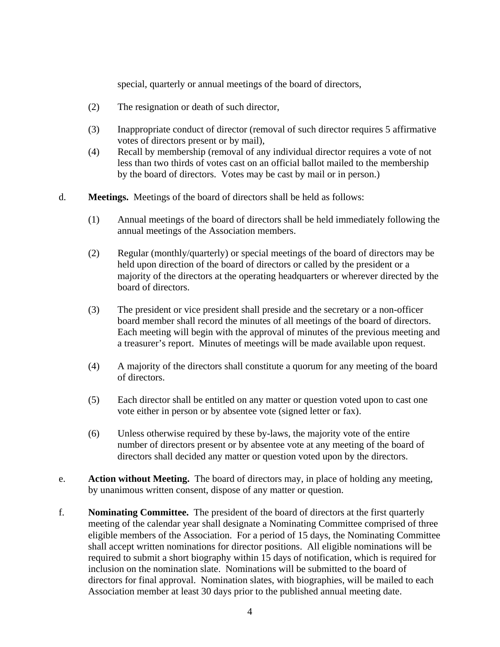special, quarterly or annual meetings of the board of directors,

- (2) The resignation or death of such director,
- (3) Inappropriate conduct of director (removal of such director requires 5 affirmative votes of directors present or by mail),
- (4) Recall by membership (removal of any individual director requires a vote of not less than two thirds of votes cast on an official ballot mailed to the membership by the board of directors. Votes may be cast by mail or in person.)
- d. **Meetings.** Meetings of the board of directors shall be held as follows:
	- (1) Annual meetings of the board of directors shall be held immediately following the annual meetings of the Association members.
	- (2) Regular (monthly/quarterly) or special meetings of the board of directors may be held upon direction of the board of directors or called by the president or a majority of the directors at the operating headquarters or wherever directed by the board of directors.
	- (3) The president or vice president shall preside and the secretary or a non-officer board member shall record the minutes of all meetings of the board of directors. Each meeting will begin with the approval of minutes of the previous meeting and a treasurer's report. Minutes of meetings will be made available upon request.
	- (4) A majority of the directors shall constitute a quorum for any meeting of the board of directors.
	- (5) Each director shall be entitled on any matter or question voted upon to cast one vote either in person or by absentee vote (signed letter or fax).
	- (6) Unless otherwise required by these by-laws, the majority vote of the entire number of directors present or by absentee vote at any meeting of the board of directors shall decided any matter or question voted upon by the directors.
- e. **Action without Meeting.** The board of directors may, in place of holding any meeting, by unanimous written consent, dispose of any matter or question.
- f. **Nominating Committee.** The president of the board of directors at the first quarterly meeting of the calendar year shall designate a Nominating Committee comprised of three eligible members of the Association. For a period of 15 days, the Nominating Committee shall accept written nominations for director positions. All eligible nominations will be required to submit a short biography within 15 days of notification, which is required for inclusion on the nomination slate. Nominations will be submitted to the board of directors for final approval. Nomination slates, with biographies, will be mailed to each Association member at least 30 days prior to the published annual meeting date.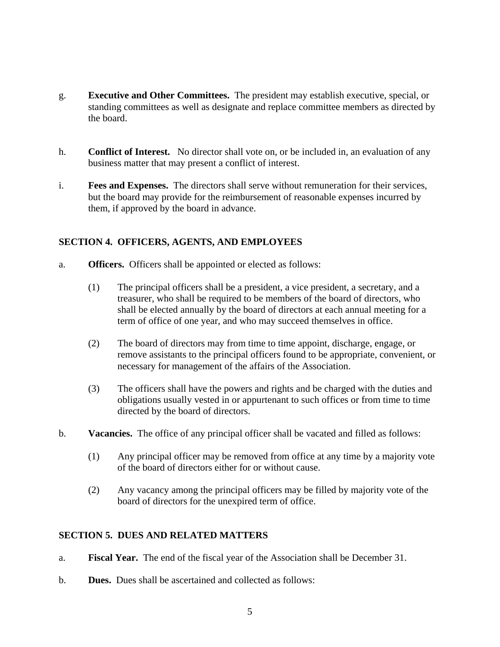- g. **Executive and Other Committees.** The president may establish executive, special, or standing committees as well as designate and replace committee members as directed by the board.
- h. **Conflict of Interest.** No director shall vote on, or be included in, an evaluation of any business matter that may present a conflict of interest.
- i. **Fees and Expenses.** The directors shall serve without remuneration for their services, but the board may provide for the reimbursement of reasonable expenses incurred by them, if approved by the board in advance.

# **SECTION 4. OFFICERS, AGENTS, AND EMPLOYEES**

- a. **Officers.** Officers shall be appointed or elected as follows:
	- (1) The principal officers shall be a president, a vice president, a secretary, and a treasurer, who shall be required to be members of the board of directors, who shall be elected annually by the board of directors at each annual meeting for a term of office of one year, and who may succeed themselves in office.
	- (2) The board of directors may from time to time appoint, discharge, engage, or remove assistants to the principal officers found to be appropriate, convenient, or necessary for management of the affairs of the Association.
	- (3) The officers shall have the powers and rights and be charged with the duties and obligations usually vested in or appurtenant to such offices or from time to time directed by the board of directors.
- b. **Vacancies.** The office of any principal officer shall be vacated and filled as follows:
	- (1) Any principal officer may be removed from office at any time by a majority vote of the board of directors either for or without cause.
	- (2) Any vacancy among the principal officers may be filled by majority vote of the board of directors for the unexpired term of office.

# **SECTION 5. DUES AND RELATED MATTERS**

- a. **Fiscal Year.** The end of the fiscal year of the Association shall be December 31.
- b. **Dues.** Dues shall be ascertained and collected as follows: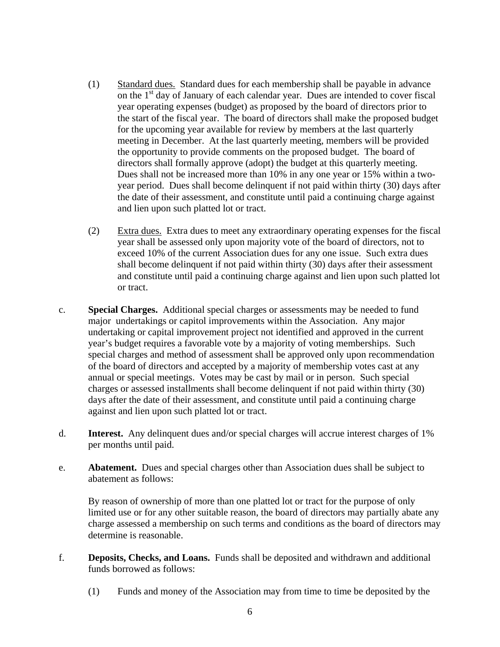- (1) Standard dues. Standard dues for each membership shall be payable in advance on the  $1<sup>st</sup>$  day of January of each calendar year. Dues are intended to cover fiscal year operating expenses (budget) as proposed by the board of directors prior to the start of the fiscal year. The board of directors shall make the proposed budget for the upcoming year available for review by members at the last quarterly meeting in December. At the last quarterly meeting, members will be provided the opportunity to provide comments on the proposed budget. The board of directors shall formally approve (adopt) the budget at this quarterly meeting. Dues shall not be increased more than 10% in any one year or 15% within a twoyear period. Dues shall become delinquent if not paid within thirty (30) days after the date of their assessment, and constitute until paid a continuing charge against and lien upon such platted lot or tract.
- (2) Extra dues. Extra dues to meet any extraordinary operating expenses for the fiscal year shall be assessed only upon majority vote of the board of directors, not to exceed 10% of the current Association dues for any one issue. Such extra dues shall become delinquent if not paid within thirty (30) days after their assessment and constitute until paid a continuing charge against and lien upon such platted lot or tract.
- c. **Special Charges.** Additional special charges or assessments may be needed to fund major undertakings or capitol improvements within the Association. Any major undertaking or capital improvement project not identified and approved in the current year's budget requires a favorable vote by a majority of voting memberships. Such special charges and method of assessment shall be approved only upon recommendation of the board of directors and accepted by a majority of membership votes cast at any annual or special meetings. Votes may be cast by mail or in person. Such special charges or assessed installments shall become delinquent if not paid within thirty (30) days after the date of their assessment, and constitute until paid a continuing charge against and lien upon such platted lot or tract.
- d. **Interest.** Any delinquent dues and/or special charges will accrue interest charges of 1% per months until paid.
- e. **Abatement.** Dues and special charges other than Association dues shall be subject to abatement as follows:

By reason of ownership of more than one platted lot or tract for the purpose of only limited use or for any other suitable reason, the board of directors may partially abate any charge assessed a membership on such terms and conditions as the board of directors may determine is reasonable.

- f. **Deposits, Checks, and Loans.** Funds shall be deposited and withdrawn and additional funds borrowed as follows:
	- (1) Funds and money of the Association may from time to time be deposited by the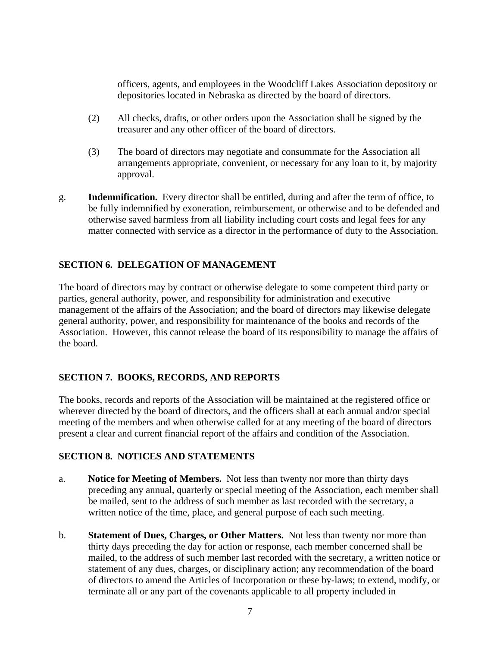officers, agents, and employees in the Woodcliff Lakes Association depository or depositories located in Nebraska as directed by the board of directors.

- (2) All checks, drafts, or other orders upon the Association shall be signed by the treasurer and any other officer of the board of directors.
- (3) The board of directors may negotiate and consummate for the Association all arrangements appropriate, convenient, or necessary for any loan to it, by majority approval.
- g. **Indemnification.** Every director shall be entitled, during and after the term of office, to be fully indemnified by exoneration, reimbursement, or otherwise and to be defended and otherwise saved harmless from all liability including court costs and legal fees for any matter connected with service as a director in the performance of duty to the Association.

# **SECTION 6. DELEGATION OF MANAGEMENT**

The board of directors may by contract or otherwise delegate to some competent third party or parties, general authority, power, and responsibility for administration and executive management of the affairs of the Association; and the board of directors may likewise delegate general authority, power, and responsibility for maintenance of the books and records of the Association. However, this cannot release the board of its responsibility to manage the affairs of the board.

# **SECTION 7. BOOKS, RECORDS, AND REPORTS**

The books, records and reports of the Association will be maintained at the registered office or wherever directed by the board of directors, and the officers shall at each annual and/or special meeting of the members and when otherwise called for at any meeting of the board of directors present a clear and current financial report of the affairs and condition of the Association.

# **SECTION 8. NOTICES AND STATEMENTS**

- a. **Notice for Meeting of Members.** Not less than twenty nor more than thirty days preceding any annual, quarterly or special meeting of the Association, each member shall be mailed, sent to the address of such member as last recorded with the secretary, a written notice of the time, place, and general purpose of each such meeting.
- b. **Statement of Dues, Charges, or Other Matters.** Not less than twenty nor more than thirty days preceding the day for action or response, each member concerned shall be mailed, to the address of such member last recorded with the secretary, a written notice or statement of any dues, charges, or disciplinary action; any recommendation of the board of directors to amend the Articles of Incorporation or these by-laws; to extend, modify, or terminate all or any part of the covenants applicable to all property included in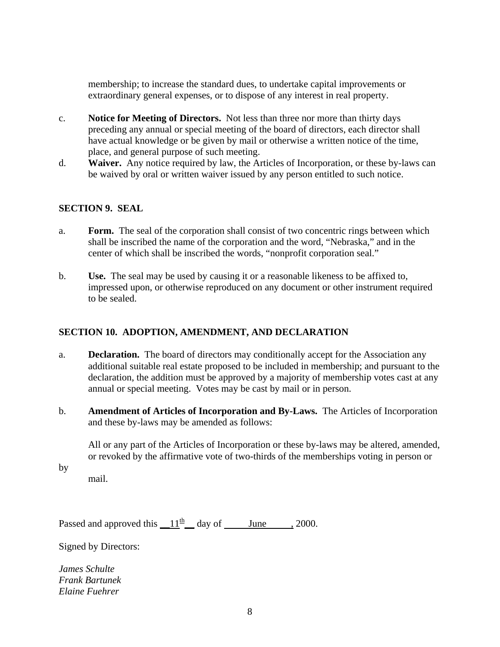membership; to increase the standard dues, to undertake capital improvements or extraordinary general expenses, or to dispose of any interest in real property.

- c. **Notice for Meeting of Directors.** Not less than three nor more than thirty days preceding any annual or special meeting of the board of directors, each director shall have actual knowledge or be given by mail or otherwise a written notice of the time, place, and general purpose of such meeting.
- d. **Waiver.** Any notice required by law, the Articles of Incorporation, or these by-laws can be waived by oral or written waiver issued by any person entitled to such notice.

## **SECTION 9. SEAL**

- a. **Form.** The seal of the corporation shall consist of two concentric rings between which shall be inscribed the name of the corporation and the word, "Nebraska," and in the center of which shall be inscribed the words, "nonprofit corporation seal."
- b. **Use.** The seal may be used by causing it or a reasonable likeness to be affixed to, impressed upon, or otherwise reproduced on any document or other instrument required to be sealed.

## **SECTION 10. ADOPTION, AMENDMENT, AND DECLARATION**

- a. **Declaration.** The board of directors may conditionally accept for the Association any additional suitable real estate proposed to be included in membership; and pursuant to the declaration, the addition must be approved by a majority of membership votes cast at any annual or special meeting. Votes may be cast by mail or in person.
- b. **Amendment of Articles of Incorporation and By-Laws.** The Articles of Incorporation and these by-laws may be amended as follows:

All or any part of the Articles of Incorporation or these by-laws may be altered, amended, or revoked by the affirmative vote of two-thirds of the memberships voting in person or

by

mail.

Passed and approved this  $11^{th}$  day of June , 2000.

Signed by Directors:

*James Schulte Frank Bartunek Elaine Fuehrer*